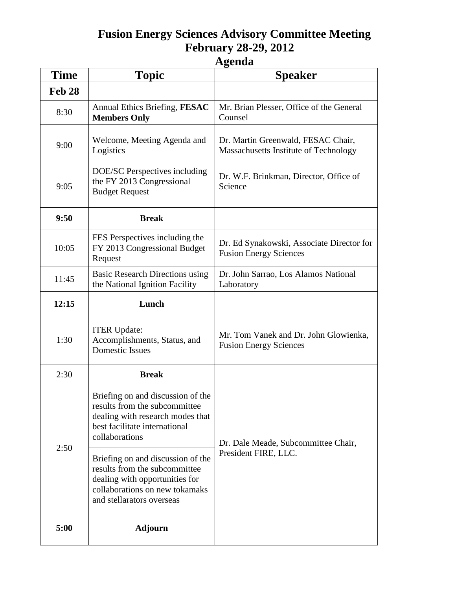## **Fusion Energy Sciences Advisory Committee Meeting February 28-29, 2012**

## **Agenda**

| <b>Time</b> | <b>Topic</b>                                                                                                                                                        | <b>Speaker</b>                                                              |
|-------------|---------------------------------------------------------------------------------------------------------------------------------------------------------------------|-----------------------------------------------------------------------------|
| Feb 28      |                                                                                                                                                                     |                                                                             |
| 8:30        | Annual Ethics Briefing, FESAC<br><b>Members Only</b>                                                                                                                | Mr. Brian Plesser, Office of the General<br>Counsel                         |
| 9:00        | Welcome, Meeting Agenda and<br>Logistics                                                                                                                            | Dr. Martin Greenwald, FESAC Chair,<br>Massachusetts Institute of Technology |
| 9:05        | DOE/SC Perspectives including<br>the FY 2013 Congressional<br><b>Budget Request</b>                                                                                 | Dr. W.F. Brinkman, Director, Office of<br>Science                           |
| 9:50        | <b>Break</b>                                                                                                                                                        |                                                                             |
| 10:05       | FES Perspectives including the<br>FY 2013 Congressional Budget<br>Request                                                                                           | Dr. Ed Synakowski, Associate Director for<br><b>Fusion Energy Sciences</b>  |
| 11:45       | <b>Basic Research Directions using</b><br>the National Ignition Facility                                                                                            | Dr. John Sarrao, Los Alamos National<br>Laboratory                          |
| 12:15       | Lunch                                                                                                                                                               |                                                                             |
| 1:30        | <b>ITER Update:</b><br>Accomplishments, Status, and<br><b>Domestic Issues</b>                                                                                       | Mr. Tom Vanek and Dr. John Glowienka,<br><b>Fusion Energy Sciences</b>      |
| 2:30        | <b>Break</b>                                                                                                                                                        |                                                                             |
| 2:50        | Briefing on and discussion of the<br>results from the subcommittee<br>dealing with research modes that<br>best facilitate international<br>collaborations           | Dr. Dale Meade, Subcommittee Chair,<br>President FIRE, LLC.                 |
|             | Briefing on and discussion of the<br>results from the subcommittee<br>dealing with opportunities for<br>collaborations on new tokamaks<br>and stellarators overseas |                                                                             |
| 5:00        | <b>Adjourn</b>                                                                                                                                                      |                                                                             |